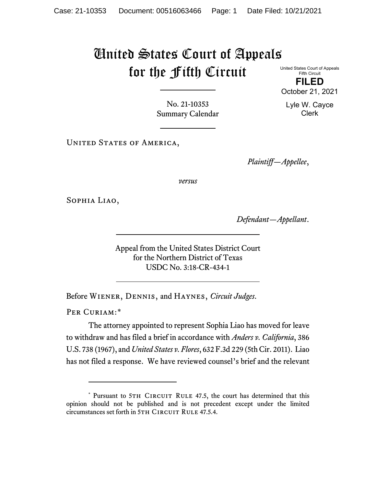## United States Court of Appeals for the Fifth Circuit United States Court of Appeals

Fifth Circuit **FILED**

October 21, 2021

Lyle W. Cayce Clerk

No. 21-10353 Summary Calendar

UNITED STATES OF AMERICA,

*Plaintiff—Appellee*,

*versus*

Sophia Liao,

*Defendant—Appellant*.

Appeal from the United States District Court for the Northern District of Texas USDC No. 3:18-CR-434-1

Before Wiener, Dennis, and Haynes, *Circuit Judges*.

PER CURIAM:[\\*](#page-0-0)

The attorney appointed to represent Sophia Liao has moved for leave to withdraw and has filed a brief in accordance with *Anders v. California*, 386 U.S. 738 (1967), and *United States v. Flores*, 632 F.3d 229 (5th Cir. 2011). Liao has not filed a response. We have reviewed counsel's brief and the relevant

<span id="page-0-0"></span><sup>\*</sup> Pursuant to 5TH CIRCUIT RULE 47.5, the court has determined that this opinion should not be published and is not precedent except under the limited circumstances set forth in 5TH CIRCUIT RULE 47.5.4.